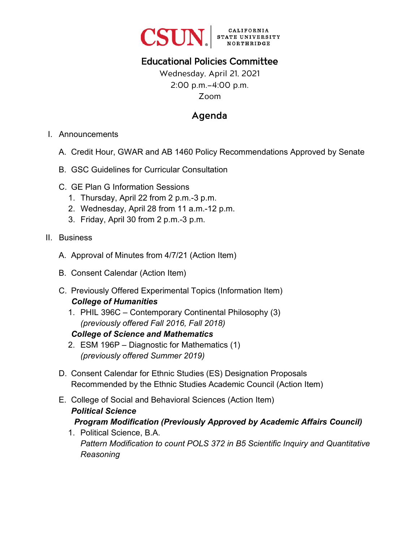

## Educational Policies Committee

Wednesday, April 21, 2021 2:00 p.m.–4:00 p.m. Zoom

## Agenda

- I. Announcements
	- A. Credit Hour, GWAR and AB 1460 Policy Recommendations Approved by Senate
	- B. GSC Guidelines for Curricular Consultation
	- C. GE Plan G Information Sessions
		- 1. Thursday, April 22 from 2 p.m.-3 p.m.
		- 2. Wednesday, April 28 from 11 a.m.-12 p.m.
		- 3. Friday, April 30 from 2 p.m.-3 p.m.
- II. Business
	- A. Approval of Minutes from 4/7/21 (Action Item)
	- B. Consent Calendar (Action Item)
	- C. Previously Offered Experimental Topics (Information Item) *College of Humanities*
		- 1. PHIL 396C Contemporary Continental Philosophy (3) *(previously offered Fall 2016, Fall 2018)*

#### *College of Science and Mathematics*

- 2. ESM 196P Diagnostic for Mathematics (1) *(previously offered Summer 2019)*
- D. Consent Calendar for Ethnic Studies (ES) Designation Proposals Recommended by the Ethnic Studies Academic Council (Action Item)
- E. College of Social and Behavioral Sciences (Action Item) *Political Science Program Modification (Previously Approved by Academic Affairs Council)*
	- 1. Political Science, B.A. *Pattern Modification to count POLS 372 in B5 Scientific Inquiry and Quantitative Reasoning*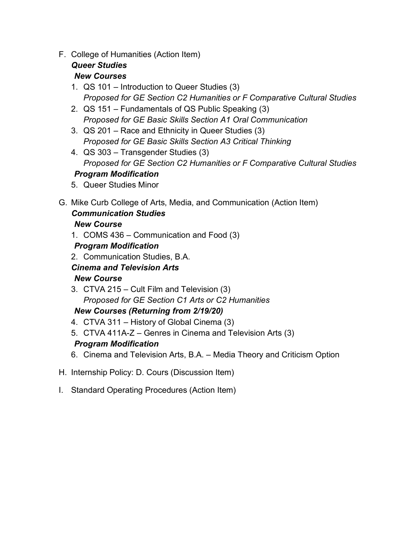F. College of Humanities (Action Item)

#### *Queer Studies New Courses*

- 1. QS 101 Introduction to Queer Studies (3) *Proposed for GE Section C2 Humanities or F Comparative Cultural Studies*
- 2. QS 151 Fundamentals of QS Public Speaking (3) *Proposed for GE Basic Skills Section A1 Oral Communication*
- 3. QS 201 Race and Ethnicity in Queer Studies (3) *Proposed for GE Basic Skills Section A3 Critical Thinking*
- 4. QS 303 Transgender Studies (3) *Proposed for GE Section C2 Humanities or F Comparative Cultural Studies Program Modification*
- 5. Queer Studies Minor
- G. Mike Curb College of Arts, Media, and Communication (Action Item) *Communication Studies New Course*
	- 1. COMS 436 Communication and Food (3)

## *Program Modification*

2. Communication Studies, B.A.

## *Cinema and Television Arts*

## *New Course*

3. CTVA 215 – Cult Film and Television (3) *Proposed for GE Section C1 Arts or C2 Humanities*

## *New Courses (Returning from 2/19/20)*

- 4. CTVA 311 History of Global Cinema (3)
- 5. CTVA 411A-Z Genres in Cinema and Television Arts (3) *Program Modification*
- 6. Cinema and Television Arts, B.A. Media Theory and Criticism Option
- H. Internship Policy: D. Cours (Discussion Item)
- I. Standard Operating Procedures (Action Item)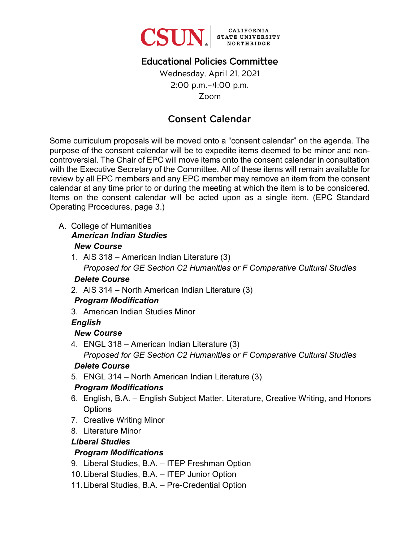

## Educational Policies Committee

Wednesday, April 21, 2021 2:00 p.m.–4:00 p.m. Zoom

## Consent Calendar

Some curriculum proposals will be moved onto a "consent calendar" on the agenda. The purpose of the consent calendar will be to expedite items deemed to be minor and noncontroversial. The Chair of EPC will move items onto the consent calendar in consultation with the Executive Secretary of the Committee. All of these items will remain available for review by all EPC members and any EPC member may remove an item from the consent calendar at any time prior to or during the meeting at which the item is to be considered. Items on the consent calendar will be acted upon as a single item. (EPC Standard Operating Procedures, page 3.)

A. College of Humanities

#### *American Indian Studies New Course*

- 
- 1. AIS 318 American Indian Literature (3) *Proposed for GE Section C2 Humanities or F Comparative Cultural Studies*

### *Delete Course*

2. AIS 314 – North American Indian Literature (3)

### *Program Modification*

3. American Indian Studies Minor

### *English*

### *New Course*

4. ENGL 318 – American Indian Literature (3) *Proposed for GE Section C2 Humanities or F Comparative Cultural Studies* 

### *Delete Course*

5. ENGL 314 – North American Indian Literature (3)

### *Program Modifications*

- 6. English, B.A. English Subject Matter, Literature, Creative Writing, and Honors **Options**
- 7. Creative Writing Minor
- 8. Literature Minor

### *Liberal Studies*

## *Program Modifications*

- 9. Liberal Studies, B.A. ITEP Freshman Option
- 10. Liberal Studies, B.A. ITEP Junior Option
- 11. Liberal Studies, B.A. Pre-Credential Option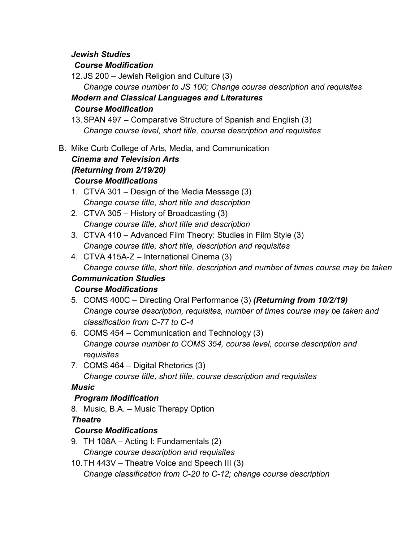#### *Jewish Studies*

### *Course Modification*

12. JS 200 – Jewish Religion and Culture (3)

*Change course number to JS 100; Change course description and requisites Modern and Classical Languages and Literatures*

### *Course Modification*

13.SPAN 497 – Comparative Structure of Spanish and English (3) *Change course level, short title, course description and requisites*

B. Mike Curb College of Arts, Media, and Communication

## *Cinema and Television Arts (Returning from 2/19/20) Course Modifications*

- 1. CTVA 301 Design of the Media Message (3) *Change course title, short title and description*
- 2. CTVA 305 History of Broadcasting (3) *Change course title, short title and description*
- 3. CTVA 410 Advanced Film Theory: Studies in Film Style (3) *Change course title, short title, description and requisites*
- 4. CTVA 415A-Z International Cinema (3) *Change course title, short title, description and number of times course may be taken*

## *Communication Studies*

## *Course Modifications*

- 5. COMS 400C Directing Oral Performance (3) *(Returning from 10/2/19) Change course description, requisites, number of times course may be taken and classification from C-77 to C-4*
- 6. COMS 454 Communication and Technology (3) *Change course number to COMS 354, course level, course description and requisites*
- 7. COMS 464 Digital Rhetorics (3)

*Change course title, short title, course description and requisites*

## *Music*

## *Program Modification*

8. Music, B.A. – Music Therapy Option

*Theatre*

## *Course Modifications*

- 9. TH 108A Acting I: Fundamentals (2) *Change course description and requisites*
- 10.TH 443V Theatre Voice and Speech III (3) *Change classification from C-20 to C-12; change course description*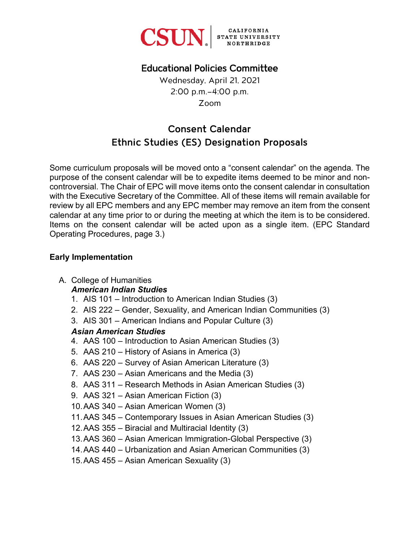

## Educational Policies Committee

Wednesday, April 21, 2021 2:00 p.m.–4:00 p.m. Zoom

# Consent Calendar Ethnic Studies (ES) Designation Proposals

Some curriculum proposals will be moved onto a "consent calendar" on the agenda. The purpose of the consent calendar will be to expedite items deemed to be minor and noncontroversial. The Chair of EPC will move items onto the consent calendar in consultation with the Executive Secretary of the Committee. All of these items will remain available for review by all EPC members and any EPC member may remove an item from the consent calendar at any time prior to or during the meeting at which the item is to be considered. Items on the consent calendar will be acted upon as a single item. (EPC Standard Operating Procedures, page 3.)

### **Early Implementation**

A. College of Humanities

### *American Indian Studies*

- 1. AIS 101 Introduction to American Indian Studies (3)
- 2. AIS 222 Gender, Sexuality, and American Indian Communities (3)
- 3. AIS 301 American Indians and Popular Culture (3)

## *Asian American Studies*

- 4. AAS 100 Introduction to Asian American Studies (3)
- 5. AAS 210 History of Asians in America (3)
- 6. AAS 220 Survey of Asian American Literature (3)
- 7. AAS 230 Asian Americans and the Media (3)
- 8. AAS 311 Research Methods in Asian American Studies (3)
- 9. AAS 321 Asian American Fiction (3)
- 10.AAS 340 Asian American Women (3)
- 11.AAS 345 Contemporary Issues in Asian American Studies (3)
- 12.AAS 355 Biracial and Multiracial Identity (3)
- 13.AAS 360 Asian American Immigration-Global Perspective (3)
- 14.AAS 440 Urbanization and Asian American Communities (3)
- 15.AAS 455 Asian American Sexuality (3)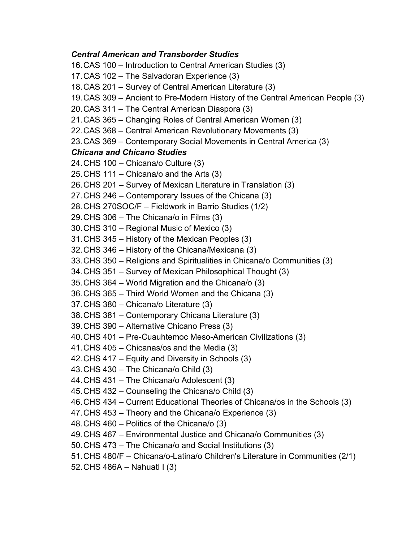#### *Central American and Transborder Studies*

16.CAS 100 – Introduction to Central American Studies (3) 17.CAS 102 – The Salvadoran Experience (3) 18.CAS 201 – Survey of Central American Literature (3) 19.CAS 309 – Ancient to Pre-Modern History of the Central American People (3) 20.CAS 311 – The Central American Diaspora (3) 21.CAS 365 – Changing Roles of Central American Women (3) 22.CAS 368 – Central American Revolutionary Movements (3) 23.CAS 369 – Contemporary Social Movements in Central America (3) *Chicana and Chicano Studies* 24.CHS 100 – Chicana/o Culture (3) 25.CHS 111 – Chicana/o and the Arts (3) 26.CHS 201 – Survey of Mexican Literature in Translation (3) 27.CHS 246 – Contemporary Issues of the Chicana (3) 28.CHS 270SOC/F – Fieldwork in Barrio Studies (1/2) 29.CHS 306 – The Chicana/o in Films (3) 30.CHS 310 – Regional Music of Mexico (3) 31.CHS 345 – History of the Mexican Peoples (3) 32.CHS 346 – History of the Chicana/Mexicana (3) 33.CHS 350 – Religions and Spiritualities in Chicana/o Communities (3) 34.CHS 351 – Survey of Mexican Philosophical Thought (3) 35.CHS 364 – World Migration and the Chicana/o (3) 36.CHS 365 – Third World Women and the Chicana (3) 37.CHS 380 – Chicana/o Literature (3) 38.CHS 381 – Contemporary Chicana Literature (3) 39.CHS 390 – Alternative Chicano Press (3) 40.CHS 401 – Pre-Cuauhtemoc Meso-American Civilizations (3) 41.CHS 405 – Chicanas/os and the Media (3) 42.CHS 417 – Equity and Diversity in Schools (3) 43.CHS 430 – The Chicana/o Child (3) 44.CHS 431 – The Chicana/o Adolescent (3) 45.CHS 432 – Counseling the Chicana/o Child (3) 46.CHS 434 – Current Educational Theories of Chicana/os in the Schools (3) 47.CHS 453 – Theory and the Chicana/o Experience (3) 48.CHS 460 – Politics of the Chicana/o (3) 49.CHS 467 – Environmental Justice and Chicana/o Communities (3) 50.CHS 473 – The Chicana/o and Social Institutions (3) 51.CHS 480/F – Chicana/o-Latina/o Children's Literature in Communities (2/1) 52.CHS 486A – Nahuatl I (3)